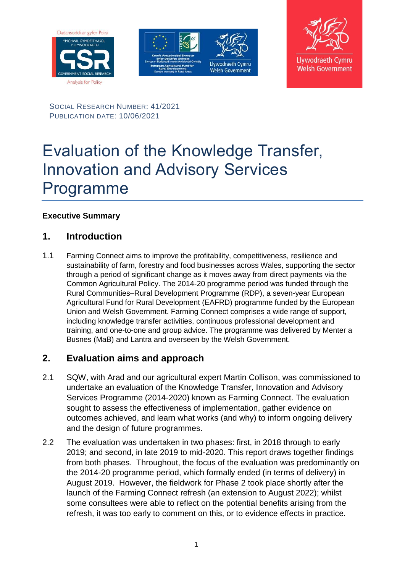





SOCIAL RESEARCH NUMBER: 41/2021 PUBLICATION DATE: 10/06/2021

# Evaluation of the Knowledge Transfer, Innovation and Advisory Services Programme

#### **Executive Summary**

## **1. Introduction**

1.1 Farming Connect aims to improve the profitability, competitiveness, resilience and sustainability of farm, forestry and food businesses across Wales, supporting the sector through a period of significant change as it moves away from direct payments via the Common Agricultural Policy. The 2014-20 programme period was funded through the Rural Communities–Rural Development Programme (RDP), a seven-year European Agricultural Fund for Rural Development (EAFRD) programme funded by the European Union and Welsh Government. Farming Connect comprises a wide range of support, including knowledge transfer activities, continuous professional development and training, and one-to-one and group advice. The programme was delivered by Menter a Busnes (MaB) and Lantra and overseen by the Welsh Government.

## **2. Evaluation aims and approach**

- 2.1 SQW, with Arad and our agricultural expert Martin Collison, was commissioned to undertake an evaluation of the Knowledge Transfer, Innovation and Advisory Services Programme (2014-2020) known as Farming Connect. The evaluation sought to assess the effectiveness of implementation, gather evidence on outcomes achieved, and learn what works (and why) to inform ongoing delivery and the design of future programmes.
- 2.2 The evaluation was undertaken in two phases: first, in 2018 through to early 2019; and second, in late 2019 to mid-2020. This report draws together findings from both phases. Throughout, the focus of the evaluation was predominantly on the 2014-20 programme period, which formally ended (in terms of delivery) in August 2019. However, the fieldwork for Phase 2 took place shortly after the launch of the Farming Connect refresh (an extension to August 2022); whilst some consultees were able to reflect on the potential benefits arising from the refresh, it was too early to comment on this, or to evidence effects in practice.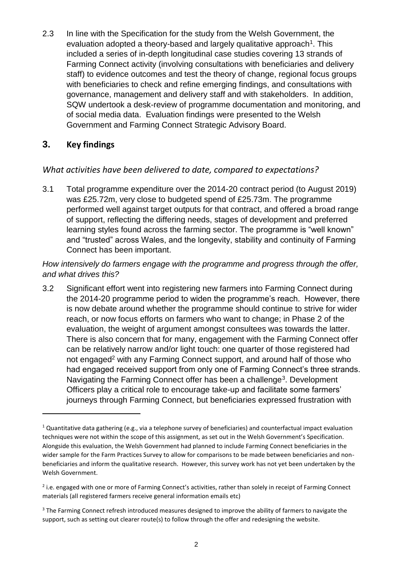2.3 In line with the Specification for the study from the Welsh Government, the evaluation adopted a theory-based and largely qualitative approach<sup>1</sup>. This included a series of in-depth longitudinal case studies covering 13 strands of Farming Connect activity (involving consultations with beneficiaries and delivery staff) to evidence outcomes and test the theory of change, regional focus groups with beneficiaries to check and refine emerging findings, and consultations with governance, management and delivery staff and with stakeholders. In addition, SQW undertook a desk-review of programme documentation and monitoring, and of social media data. Evaluation findings were presented to the Welsh Government and Farming Connect Strategic Advisory Board.

## **3. Key findings**

 $\overline{a}$ 

#### *What activities have been delivered to date, compared to expectations?*

3.1 Total programme expenditure over the 2014-20 contract period (to August 2019) was £25.72m, very close to budgeted spend of £25.73m. The programme performed well against target outputs for that contract, and offered a broad range of support, reflecting the differing needs, stages of development and preferred learning styles found across the farming sector. The programme is "well known" and "trusted" across Wales, and the longevity, stability and continuity of Farming Connect has been important.

*How intensively do farmers engage with the programme and progress through the offer, and what drives this?*

3.2 Significant effort went into registering new farmers into Farming Connect during the 2014-20 programme period to widen the programme's reach. However, there is now debate around whether the programme should continue to strive for wider reach, or now focus efforts on farmers who want to change; in Phase 2 of the evaluation, the weight of argument amongst consultees was towards the latter. There is also concern that for many, engagement with the Farming Connect offer can be relatively narrow and/or light touch: one quarter of those registered had not engaged<sup>2</sup> with any Farming Connect support, and around half of those who had engaged received support from only one of Farming Connect's three strands. Navigating the Farming Connect offer has been a challenge<sup>3</sup>. Development Officers play a critical role to encourage take-up and facilitate some farmers' journeys through Farming Connect, but beneficiaries expressed frustration with

<sup>&</sup>lt;sup>1</sup> Quantitative data gathering (e.g., via a telephone survey of beneficiaries) and counterfactual impact evaluation techniques were not within the scope of this assignment, as set out in the Welsh Government's Specification. Alongside this evaluation, the Welsh Government had planned to include Farming Connect beneficiaries in the wider sample for the Farm Practices Survey to allow for comparisons to be made between beneficiaries and nonbeneficiaries and inform the qualitative research. However, this survey work has not yet been undertaken by the Welsh Government.

<sup>&</sup>lt;sup>2</sup> i.e. engaged with one or more of Farming Connect's activities, rather than solely in receipt of Farming Connect materials (all registered farmers receive general information emails etc)

<sup>&</sup>lt;sup>3</sup> The Farming Connect refresh introduced measures designed to improve the ability of farmers to navigate the support, such as setting out clearer route(s) to follow through the offer and redesigning the website.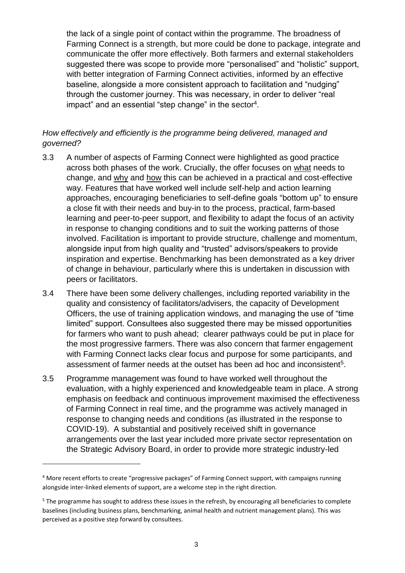the lack of a single point of contact within the programme. The broadness of Farming Connect is a strength, but more could be done to package, integrate and communicate the offer more effectively. Both farmers and external stakeholders suggested there was scope to provide more "personalised" and "holistic" support, with better integration of Farming Connect activities, informed by an effective baseline, alongside a more consistent approach to facilitation and "nudging" through the customer journey. This was necessary, in order to deliver "real impact" and an essential "step change" in the sector<sup>4</sup>.

#### *How effectively and efficiently is the programme being delivered, managed and governed?*

- 3.3 A number of aspects of Farming Connect were highlighted as good practice across both phases of the work. Crucially, the offer focuses on what needs to change, and why and how this can be achieved in a practical and cost-effective way. Features that have worked well include self-help and action learning approaches, encouraging beneficiaries to self-define goals "bottom up" to ensure a close fit with their needs and buy-in to the process, practical, farm-based learning and peer-to-peer support, and flexibility to adapt the focus of an activity in response to changing conditions and to suit the working patterns of those involved. Facilitation is important to provide structure, challenge and momentum, alongside input from high quality and "trusted" advisors/speakers to provide inspiration and expertise. Benchmarking has been demonstrated as a key driver of change in behaviour, particularly where this is undertaken in discussion with peers or facilitators.
- 3.4 There have been some delivery challenges, including reported variability in the quality and consistency of facilitators/advisers, the capacity of Development Officers, the use of training application windows, and managing the use of "time limited" support. Consultees also suggested there may be missed opportunities for farmers who want to push ahead; clearer pathways could be put in place for the most progressive farmers. There was also concern that farmer engagement with Farming Connect lacks clear focus and purpose for some participants, and assessment of farmer needs at the outset has been ad hoc and inconsistent<sup>5</sup>.
- 3.5 Programme management was found to have worked well throughout the evaluation, with a highly experienced and knowledgeable team in place. A strong emphasis on feedback and continuous improvement maximised the effectiveness of Farming Connect in real time, and the programme was actively managed in response to changing needs and conditions (as illustrated in the response to COVID-19). A substantial and positively received shift in governance arrangements over the last year included more private sector representation on the Strategic Advisory Board, in order to provide more strategic industry-led

 $\overline{a}$ 

<sup>4</sup> More recent efforts to create "progressive packages" of Farming Connect support, with campaigns running alongside inter-linked elements of support, are a welcome step in the right direction.

<sup>&</sup>lt;sup>5</sup> The programme has sought to address these issues in the refresh, by encouraging all beneficiaries to complete baselines (including business plans, benchmarking, animal health and nutrient management plans). This was perceived as a positive step forward by consultees.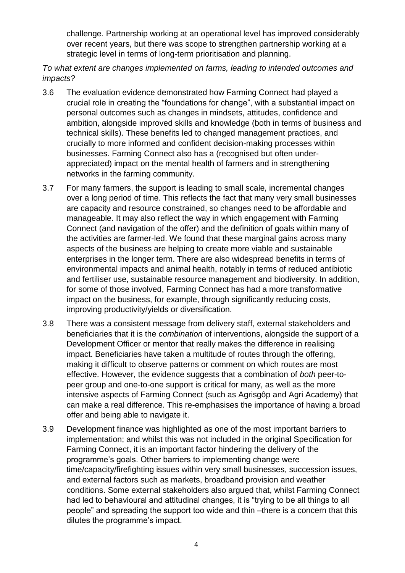challenge. Partnership working at an operational level has improved considerably over recent years, but there was scope to strengthen partnership working at a strategic level in terms of long-term prioritisation and planning.

*To what extent are changes implemented on farms, leading to intended outcomes and impacts?* 

- 3.6 The evaluation evidence demonstrated how Farming Connect had played a crucial role in creating the "foundations for change", with a substantial impact on personal outcomes such as changes in mindsets, attitudes, confidence and ambition, alongside improved skills and knowledge (both in terms of business and technical skills). These benefits led to changed management practices, and crucially to more informed and confident decision-making processes within businesses. Farming Connect also has a (recognised but often underappreciated) impact on the mental health of farmers and in strengthening networks in the farming community.
- 3.7 For many farmers, the support is leading to small scale, incremental changes over a long period of time. This reflects the fact that many very small businesses are capacity and resource constrained, so changes need to be affordable and manageable. It may also reflect the way in which engagement with Farming Connect (and navigation of the offer) and the definition of goals within many of the activities are farmer-led. We found that these marginal gains across many aspects of the business are helping to create more viable and sustainable enterprises in the longer term. There are also widespread benefits in terms of environmental impacts and animal health, notably in terms of reduced antibiotic and fertiliser use, sustainable resource management and biodiversity. In addition, for some of those involved, Farming Connect has had a more transformative impact on the business, for example, through significantly reducing costs, improving productivity/yields or diversification.
- 3.8 There was a consistent message from delivery staff, external stakeholders and beneficiaries that it is the *combination* of interventions, alongside the support of a Development Officer or mentor that really makes the difference in realising impact. Beneficiaries have taken a multitude of routes through the offering, making it difficult to observe patterns or comment on which routes are most effective. However, the evidence suggests that a combination of *both* peer-topeer group and one-to-one support is critical for many, as well as the more intensive aspects of Farming Connect (such as Agrisgôp and Agri Academy) that can make a real difference. This re-emphasises the importance of having a broad offer and being able to navigate it.
- 3.9 Development finance was highlighted as one of the most important barriers to implementation; and whilst this was not included in the original Specification for Farming Connect, it is an important factor hindering the delivery of the programme's goals. Other barriers to implementing change were time/capacity/firefighting issues within very small businesses, succession issues, and external factors such as markets, broadband provision and weather conditions. Some external stakeholders also argued that, whilst Farming Connect had led to behavioural and attitudinal changes, it is "trying to be all things to all people" and spreading the support too wide and thin –there is a concern that this dilutes the programme's impact.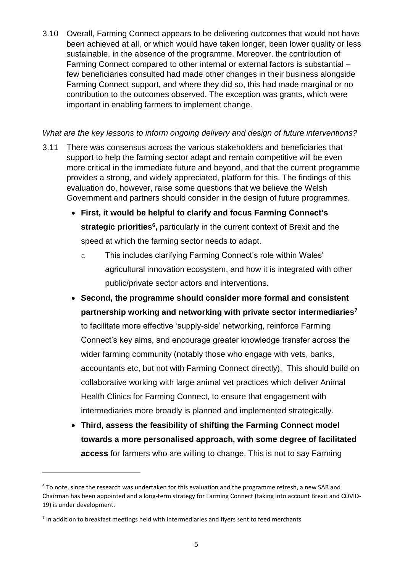3.10 Overall, Farming Connect appears to be delivering outcomes that would not have been achieved at all, or which would have taken longer, been lower quality or less sustainable, in the absence of the programme. Moreover, the contribution of Farming Connect compared to other internal or external factors is substantial – few beneficiaries consulted had made other changes in their business alongside Farming Connect support, and where they did so, this had made marginal or no contribution to the outcomes observed. The exception was grants, which were important in enabling farmers to implement change.

#### *What are the key lessons to inform ongoing delivery and design of future interventions?*

- 3.11 There was consensus across the various stakeholders and beneficiaries that support to help the farming sector adapt and remain competitive will be even more critical in the immediate future and beyond, and that the current programme provides a strong, and widely appreciated, platform for this. The findings of this evaluation do, however, raise some questions that we believe the Welsh Government and partners should consider in the design of future programmes.
	- **First, it would be helpful to clarify and focus Farming Connect's strategic priorities<sup>6</sup>**, particularly in the current context of Brexit and the speed at which the farming sector needs to adapt.
		- o This includes clarifying Farming Connect's role within Wales' agricultural innovation ecosystem, and how it is integrated with other public/private sector actors and interventions.
	- **Second, the programme should consider more formal and consistent partnership working and networking with private sector intermediaries<sup>7</sup>** to facilitate more effective 'supply-side' networking, reinforce Farming Connect's key aims, and encourage greater knowledge transfer across the wider farming community (notably those who engage with vets, banks, accountants etc, but not with Farming Connect directly). This should build on collaborative working with large animal vet practices which deliver Animal Health Clinics for Farming Connect, to ensure that engagement with intermediaries more broadly is planned and implemented strategically.
	- **Third, assess the feasibility of shifting the Farming Connect model towards a more personalised approach, with some degree of facilitated access** for farmers who are willing to change. This is not to say Farming

 $\overline{a}$ 

<sup>6</sup> To note, since the research was undertaken for this evaluation and the programme refresh, a new SAB and Chairman has been appointed and a long-term strategy for Farming Connect (taking into account Brexit and COVID-19) is under development.

 $<sup>7</sup>$  In addition to breakfast meetings held with intermediaries and flyers sent to feed merchants</sup>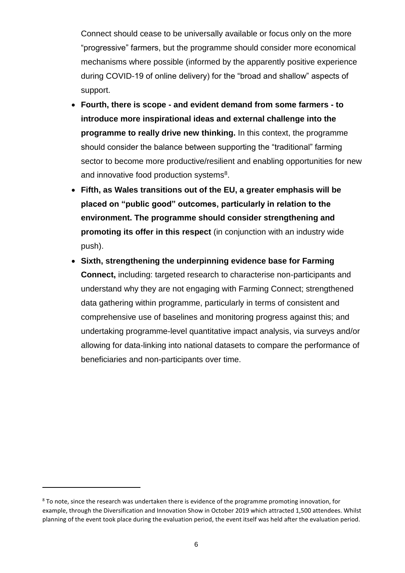Connect should cease to be universally available or focus only on the more "progressive" farmers, but the programme should consider more economical mechanisms where possible (informed by the apparently positive experience during COVID-19 of online delivery) for the "broad and shallow" aspects of support.

- **Fourth, there is scope - and evident demand from some farmers - to introduce more inspirational ideas and external challenge into the programme to really drive new thinking.** In this context, the programme should consider the balance between supporting the "traditional" farming sector to become more productive/resilient and enabling opportunities for new and innovative food production systems<sup>8</sup>.
- **Fifth, as Wales transitions out of the EU, a greater emphasis will be placed on "public good" outcomes, particularly in relation to the environment. The programme should consider strengthening and promoting its offer in this respect** (in conjunction with an industry wide push).
- **Sixth, strengthening the underpinning evidence base for Farming Connect,** including: targeted research to characterise non-participants and understand why they are not engaging with Farming Connect; strengthened data gathering within programme, particularly in terms of consistent and comprehensive use of baselines and monitoring progress against this; and undertaking programme-level quantitative impact analysis, via surveys and/or allowing for data-linking into national datasets to compare the performance of beneficiaries and non-participants over time.

 $\ddot{\phantom{a}}$ 

<sup>&</sup>lt;sup>8</sup> To note, since the research was undertaken there is evidence of the programme promoting innovation, for example, through the Diversification and Innovation Show in October 2019 which attracted 1,500 attendees. Whilst planning of the event took place during the evaluation period, the event itself was held after the evaluation period.